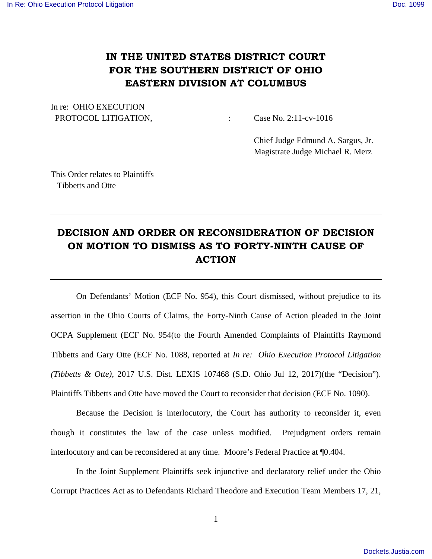## **IN THE UNITED STATES DISTRICT COURT FOR THE SOUTHERN DISTRICT OF OHIO EASTERN DIVISION AT COLUMBUS**

In re: OHIO EXECUTION PROTOCOL LITIGATION,  $\qquad \qquad : \qquad \text{Case No. 2:11-cv-1016}$ 

 Chief Judge Edmund A. Sargus, Jr. Magistrate Judge Michael R. Merz

This Order relates to Plaintiffs Tibbetts and Otte

## **DECISION AND ORDER ON RECONSIDERATION OF DECISION ON MOTION TO DISMISS AS TO FORTY-NINTH CAUSE OF ACTION**

 On Defendants' Motion (ECF No. 954), this Court dismissed, without prejudice to its assertion in the Ohio Courts of Claims, the Forty-Ninth Cause of Action pleaded in the Joint OCPA Supplement (ECF No. 954(to the Fourth Amended Complaints of Plaintiffs Raymond Tibbetts and Gary Otte (ECF No. 1088, reported at *In re: Ohio Execution Protocol Litigation (Tibbetts & Otte)*, 2017 U.S. Dist. LEXIS 107468 (S.D. Ohio Jul 12, 2017)(the "Decision"). Plaintiffs Tibbetts and Otte have moved the Court to reconsider that decision (ECF No. 1090).

 Because the Decision is interlocutory, the Court has authority to reconsider it, even though it constitutes the law of the case unless modified. Prejudgment orders remain interlocutory and can be reconsidered at any time. Moore's Federal Practice at ¶0.404.

 In the Joint Supplement Plaintiffs seek injunctive and declaratory relief under the Ohio Corrupt Practices Act as to Defendants Richard Theodore and Execution Team Members 17, 21,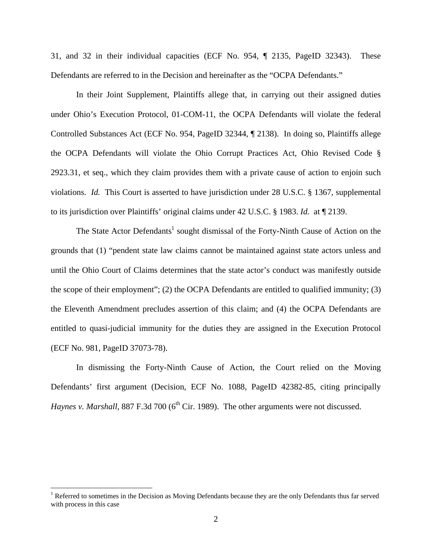31, and 32 in their individual capacities (ECF No. 954, ¶ 2135, PageID 32343). These Defendants are referred to in the Decision and hereinafter as the "OCPA Defendants."

 In their Joint Supplement, Plaintiffs allege that, in carrying out their assigned duties under Ohio's Execution Protocol, 01-COM-11, the OCPA Defendants will violate the federal Controlled Substances Act (ECF No. 954, PageID 32344, ¶ 2138). In doing so, Plaintiffs allege the OCPA Defendants will violate the Ohio Corrupt Practices Act, Ohio Revised Code § 2923.31, et seq., which they claim provides them with a private cause of action to enjoin such violations. *Id.* This Court is asserted to have jurisdiction under 28 U.S.C. § 1367, supplemental to its jurisdiction over Plaintiffs' original claims under 42 U.S.C. § 1983. *Id.* at ¶ 2139.

The State Actor Defendants<sup>1</sup> sought dismissal of the Forty-Ninth Cause of Action on the grounds that (1) "pendent state law claims cannot be maintained against state actors unless and until the Ohio Court of Claims determines that the state actor's conduct was manifestly outside the scope of their employment"; (2) the OCPA Defendants are entitled to qualified immunity; (3) the Eleventh Amendment precludes assertion of this claim; and (4) the OCPA Defendants are entitled to quasi-judicial immunity for the duties they are assigned in the Execution Protocol (ECF No. 981, PageID 37073-78).

 In dismissing the Forty-Ninth Cause of Action, the Court relied on the Moving Defendants' first argument (Decision, ECF No. 1088, PageID 42382-85, citing principally *Haynes v. Marshall*, 887 F.3d 700 (6<sup>th</sup> Cir. 1989). The other arguments were not discussed.

 $\overline{a}$ 

<sup>&</sup>lt;sup>1</sup> Referred to sometimes in the Decision as Moving Defendants because they are the only Defendants thus far served with process in this case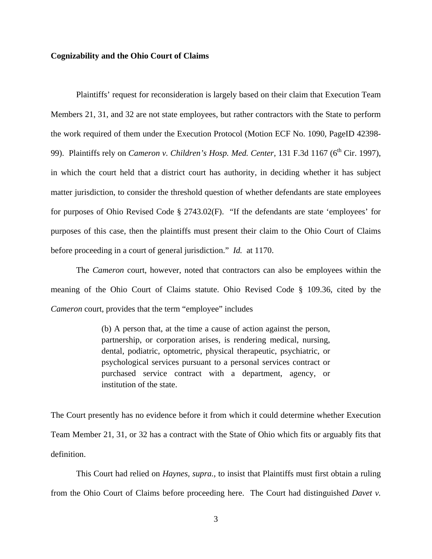## **Cognizability and the Ohio Court of Claims**

 Plaintiffs' request for reconsideration is largely based on their claim that Execution Team Members 21, 31, and 32 are not state employees, but rather contractors with the State to perform the work required of them under the Execution Protocol (Motion ECF No. 1090, PageID 42398- 99). Plaintiffs rely on *Cameron v. Children's Hosp. Med. Center*, 131 F.3d 1167 (6<sup>th</sup> Cir. 1997), in which the court held that a district court has authority, in deciding whether it has subject matter jurisdiction, to consider the threshold question of whether defendants are state employees for purposes of Ohio Revised Code § 2743.02(F). "If the defendants are state 'employees' for purposes of this case, then the plaintiffs must present their claim to the Ohio Court of Claims before proceeding in a court of general jurisdiction." *Id.* at 1170.

 The *Cameron* court, however, noted that contractors can also be employees within the meaning of the Ohio Court of Claims statute. Ohio Revised Code § 109.36, cited by the *Cameron* court, provides that the term "employee" includes

> (b) A person that, at the time a cause of action against the person, partnership, or corporation arises, is rendering medical, nursing, dental, podiatric, optometric, physical therapeutic, psychiatric, or psychological services pursuant to a personal services contract or purchased service contract with a department, agency, or institution of the state.

The Court presently has no evidence before it from which it could determine whether Execution Team Member 21, 31, or 32 has a contract with the State of Ohio which fits or arguably fits that definition.

 This Court had relied on *Haynes, supra.,* to insist that Plaintiffs must first obtain a ruling from the Ohio Court of Claims before proceeding here. The Court had distinguished *Davet v.* 

3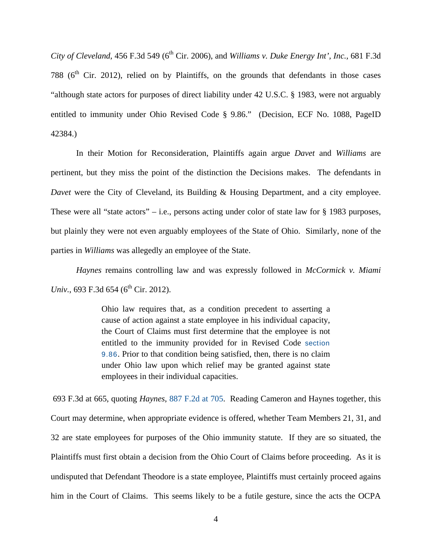*City of Cleveland*, 456 F.3d 549 (6<sup>th</sup> Cir. 2006), and *Williams v. Duke Energy Int'*, Inc., 681 F.3d 788 ( $6<sup>th</sup>$  Cir. 2012), relied on by Plaintiffs, on the grounds that defendants in those cases "although state actors for purposes of direct liability under 42 U.S.C. § 1983, were not arguably entitled to immunity under Ohio Revised Code § 9.86." (Decision, ECF No. 1088, PageID 42384.)

 In their Motion for Reconsideration, Plaintiffs again argue *Davet* and *Williams* are pertinent, but they miss the point of the distinction the Decisions makes. The defendants in *Davet* were the City of Cleveland, its Building & Housing Department, and a city employee. These were all "state actors" – i.e., persons acting under color of state law for  $\S$  1983 purposes, but plainly they were not even arguably employees of the State of Ohio. Similarly, none of the parties in *Williams* was allegedly an employee of the State.

*Haynes* remains controlling law and was expressly followed in *McCormick v. Miami Univ.*, 693 F.3d 654 (6<sup>th</sup> Cir. 2012).

> Ohio law requires that, as a condition precedent to asserting a cause of action against a state employee in his individual capacity, the Court of Claims must first determine that the employee is not entitled to the immunity provided for in Revised Code section 9.86. Prior to that condition being satisfied, then, there is no claim under Ohio law upon which relief may be granted against state employees in their individual capacities.

 693 F.3d at 665, quoting *Haynes*, 887 F.2d at 705. Reading Cameron and Haynes together, this Court may determine, when appropriate evidence is offered, whether Team Members 21, 31, and 32 are state employees for purposes of the Ohio immunity statute. If they are so situated, the Plaintiffs must first obtain a decision from the Ohio Court of Claims before proceeding. As it is undisputed that Defendant Theodore is a state employee, Plaintiffs must certainly proceed agains him in the Court of Claims. This seems likely to be a futile gesture, since the acts the OCPA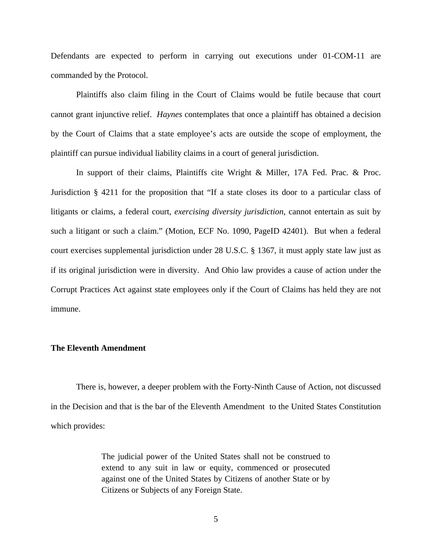Defendants are expected to perform in carrying out executions under 01-COM-11 are commanded by the Protocol.

Plaintiffs also claim filing in the Court of Claims would be futile because that court cannot grant injunctive relief. *Haynes* contemplates that once a plaintiff has obtained a decision by the Court of Claims that a state employee's acts are outside the scope of employment, the plaintiff can pursue individual liability claims in a court of general jurisdiction.

In support of their claims, Plaintiffs cite Wright & Miller, 17A Fed. Prac. & Proc. Jurisdiction § 4211 for the proposition that "If a state closes its door to a particular class of litigants or claims, a federal court, *exercising diversity jurisdiction*, cannot entertain as suit by such a litigant or such a claim." (Motion, ECF No. 1090, PageID 42401). But when a federal court exercises supplemental jurisdiction under 28 U.S.C. § 1367, it must apply state law just as if its original jurisdiction were in diversity. And Ohio law provides a cause of action under the Corrupt Practices Act against state employees only if the Court of Claims has held they are not immune.

## **The Eleventh Amendment**

There is, however, a deeper problem with the Forty-Ninth Cause of Action, not discussed in the Decision and that is the bar of the Eleventh Amendment to the United States Constitution which provides:

> The judicial power of the United States shall not be construed to extend to any suit in law or equity, commenced or prosecuted against one of the United States by Citizens of another State or by Citizens or Subjects of any Foreign State.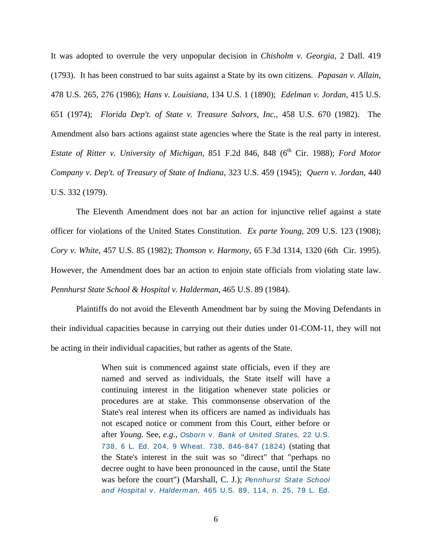It was adopted to overrule the very unpopular decision in *Chisholm v. Georgia*, 2 Dall. 419 (1793). It has been construed to bar suits against a State by its own citizens. *Papasan v. Allain,*  478 U.S. 265, 276 (1986); *Hans v. Louisiana*, 134 U.S. 1 (1890); *Edelman v. Jordan*, 415 U.S. 651 (1974); *Florida Dep't. of State v. Treasure Salvors, Inc.*, 458 U.S. 670 (1982). The Amendment also bars actions against state agencies where the State is the real party in interest. *Estate of Ritter v. University of Michigan, 851 F.2d 846, 848 (6<sup>th</sup> Cir. 1988); <i>Ford Motor Company v. Dep't. of Treasury of State of Indiana*, 323 U.S. 459 (1945); *Quern v. Jordan*, 440 U.S. 332 (1979).

The Eleventh Amendment does not bar an action for injunctive relief against a state officer for violations of the United States Constitution. *Ex parte Young,* 209 U.S. 123 (1908); *Cory v. White*, 457 U.S. 85 (1982); *Thomson v. Harmony*, 65 F.3d 1314, 1320 (6th Cir. 1995). However, the Amendment does bar an action to enjoin state officials from violating state law. *Pennhurst State School & Hospital v. Halderman*, 465 U.S. 89 (1984).

Plaintiffs do not avoid the Eleventh Amendment bar by suing the Moving Defendants in their individual capacities because in carrying out their duties under 01-COM-11, they will not be acting in their individual capacities, but rather as agents of the State.

> When suit is commenced against state officials, even if they are named and served as individuals, the State itself will have a continuing interest in the litigation whenever state policies or procedures are at stake. This commonsense observation of the State's real interest when its officers are named as individuals has not escaped notice or comment from this Court, either before or after *Young*. See, *e.g.,* Osborn v. Bank of United States, 22 U.S. 738, 6 L. Ed. 204, 9 Wheat. 738, 846-847 (1824) (stating that the State's interest in the suit was so "direct" that "perhaps no decree ought to have been pronounced in the cause, until the State was before the court") (Marshall, C. J.); Pennhurst State School and Hospital v. Halderman, 465 U.S. 89, 114, n. 25, 79 L. Ed.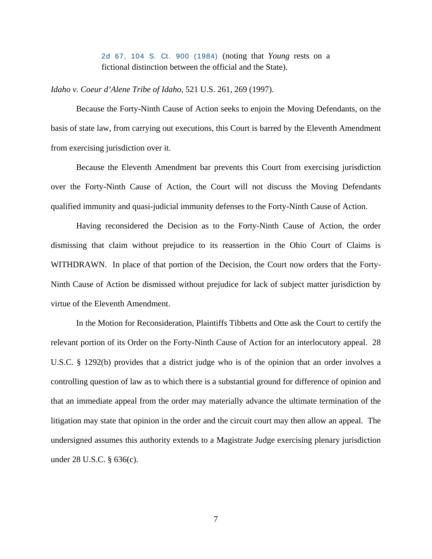2d 67, 104 S. Ct. 900 (1984) (noting that *Young* rests on a fictional distinction between the official and the State).

*Idaho v. Coeur d'Alene Tribe of Idaho*, 521 U.S. 261, 269 (1997).

 Because the Forty-Ninth Cause of Action seeks to enjoin the Moving Defendants, on the basis of state law, from carrying out executions, this Court is barred by the Eleventh Amendment from exercising jurisdiction over it.

 Because the Eleventh Amendment bar prevents this Court from exercising jurisdiction over the Forty-Ninth Cause of Action, the Court will not discuss the Moving Defendants qualified immunity and quasi-judicial immunity defenses to the Forty-Ninth Cause of Action.

 Having reconsidered the Decision as to the Forty-Ninth Cause of Action, the order dismissing that claim without prejudice to its reassertion in the Ohio Court of Claims is WITHDRAWN. In place of that portion of the Decision, the Court now orders that the Forty-Ninth Cause of Action be dismissed without prejudice for lack of subject matter jurisdiction by virtue of the Eleventh Amendment.

In the Motion for Reconsideration, Plaintiffs Tibbetts and Otte ask the Court to certify the relevant portion of its Order on the Forty-Ninth Cause of Action for an interlocutory appeal. 28 U.S.C. § 1292(b) provides that a district judge who is of the opinion that an order involves a controlling question of law as to which there is a substantial ground for difference of opinion and that an immediate appeal from the order may materially advance the ultimate termination of the litigation may state that opinion in the order and the circuit court may then allow an appeal. The undersigned assumes this authority extends to a Magistrate Judge exercising plenary jurisdiction under 28 U.S.C. § 636(c).